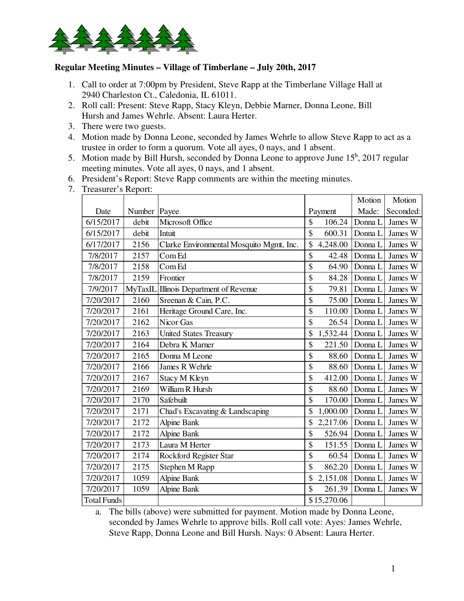

## **Regular Meeting Minutes – Village of Timberlane – July 20th, 2017**

- 1. Call to order at 7:00pm by President, Steve Rapp at the Timberlane Village Hall at 2940 Charleston Ct., Caledonia, IL 61011.
- 2. Roll call: Present: Steve Rapp, Stacy Kleyn, Debbie Marner, Donna Leone, Bill Hursh and James Wehrle. Absent: Laura Herter.
- 3. There were two guests.
- 4. Motion made by Donna Leone, seconded by James Wehrle to allow Steve Rapp to act as a trustee in order to form a quorum. Vote all ayes, 0 nays, and 1 absent.
- 5. Motion made by Bill Hursh, seconded by Donna Leone to approve June  $15^h$ , 2017 regular meeting minutes. Vote all ayes, 0 nays, and 1 absent.
- 6. President's Report: Steve Rapp comments are within the meeting minutes.
- 7. Treasurer's Report:

|                    |        |                                          |                | Motion  | Motion    |
|--------------------|--------|------------------------------------------|----------------|---------|-----------|
| Date               | Number | Payee                                    | Payment        | Made:   | Seconded: |
| 6/15/2017          | debit  | Microsoft Office                         | \$<br>106.24   | Donna L | James W   |
| 6/15/2017          | debit  | Intuit                                   | \$<br>600.31   | Donna L | James W   |
| 6/17/2017          | 2156   | Clarke Environmental Mosquito Mgmt, Inc. | \$<br>4,248.00 | Donna L | James W   |
| 7/8/2017           | 2157   | Com Ed                                   | \$<br>42.48    | Donna L | James W   |
| 7/8/2017           | 2158   | Com Ed                                   | \$<br>64.90    | Donna L | James W   |
| 7/8/2017           | 2159   | Frontier                                 | \$<br>84.28    | Donna L | James W   |
| 7/9/2017           |        | MyTaxIL Illinois Department of Revenue   | \$<br>79.81    | Donna L | James W   |
| 7/20/2017          | 2160   | Sreenan & Cain, P.C.                     | \$<br>75.00    | Donna L | James W   |
| 7/20/2017          | 2161   | Heritage Ground Care, Inc.               | \$<br>110.00   | Donna L | James W   |
| 7/20/2017          | 2162   | Nicor Gas                                | \$<br>26.54    | Donna L | James W   |
| 7/20/2017          | 2163   | <b>United States Treasury</b>            | \$<br>1,532.44 | Donna L | James W   |
| 7/20/2017          | 2164   | Debra K Marner                           | \$<br>221.50   | Donna L | James W   |
| 7/20/2017          | 2165   | Donna M Leone                            | \$<br>88.60    | Donna L | James W   |
| 7/20/2017          | 2166   | James R Wehrle                           | \$<br>88.60    | Donna L | James W   |
| 7/20/2017          | 2167   | Stacy M Kleyn                            | \$<br>412.00   | Donna L | James W   |
| 7/20/2017          | 2169   | William R Hursh                          | \$<br>88.60    | Donna L | James W   |
| 7/20/2017          | 2170   | Safebuilt                                | \$<br>170.00   | Donna L | James W   |
| 7/20/2017          | 2171   | Chad's Excavating & Landscaping          | \$<br>1,000.00 | Donna L | James W   |
| 7/20/2017          | 2172   | <b>Alpine Bank</b>                       | \$<br>2,217.06 | Donna L | James W   |
| 7/20/2017          | 2172   | <b>Alpine Bank</b>                       | \$<br>526.94   | Donna L | James W   |
| 7/20/2017          | 2173   | Laura M Herter                           | \$<br>151.55   | Donna L | James W   |
| 7/20/2017          | 2174   | Rockford Register Star                   | \$<br>60.54    | Donna L | James W   |
| 7/20/2017          | 2175   | Stephen M Rapp                           | \$<br>862.20   | Donna L | James W   |
| 7/20/2017          | 1059   | <b>Alpine Bank</b>                       | \$<br>2,151.08 | Donna L | James W   |
| 7/20/2017          | 1059   | <b>Alpine Bank</b>                       | \$<br>261.39   | Donna L | James W   |
| <b>Total Funds</b> |        |                                          | \$15,270.06    |         |           |

a. The bills (above) were submitted for payment. Motion made by Donna Leone, seconded by James Wehrle to approve bills. Roll call vote: Ayes: James Wehrle, Steve Rapp, Donna Leone and Bill Hursh. Nays: 0 Absent: Laura Herter.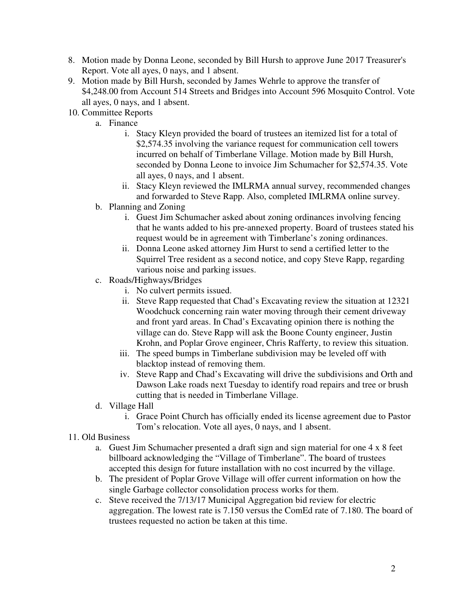- 8. Motion made by Donna Leone, seconded by Bill Hursh to approve June 2017 Treasurer's Report. Vote all ayes, 0 nays, and 1 absent.
- 9. Motion made by Bill Hursh, seconded by James Wehrle to approve the transfer of \$4,248.00 from Account 514 Streets and Bridges into Account 596 Mosquito Control. Vote all ayes, 0 nays, and 1 absent.
- 10. Committee Reports
	- a. Finance
		- i. Stacy Kleyn provided the board of trustees an itemized list for a total of \$2,574.35 involving the variance request for communication cell towers incurred on behalf of Timberlane Village. Motion made by Bill Hursh, seconded by Donna Leone to invoice Jim Schumacher for \$2,574.35. Vote all ayes, 0 nays, and 1 absent.
		- ii. Stacy Kleyn reviewed the IMLRMA annual survey, recommended changes and forwarded to Steve Rapp. Also, completed IMLRMA online survey.
	- b. Planning and Zoning
		- i. Guest Jim Schumacher asked about zoning ordinances involving fencing that he wants added to his pre-annexed property. Board of trustees stated his request would be in agreement with Timberlane's zoning ordinances.
		- ii. Donna Leone asked attorney Jim Hurst to send a certified letter to the Squirrel Tree resident as a second notice, and copy Steve Rapp, regarding various noise and parking issues.
	- c. Roads/Highways/Bridges
		- i. No culvert permits issued.
		- ii. Steve Rapp requested that Chad's Excavating review the situation at 12321 Woodchuck concerning rain water moving through their cement driveway and front yard areas. In Chad's Excavating opinion there is nothing the village can do. Steve Rapp will ask the Boone County engineer, Justin Krohn, and Poplar Grove engineer, Chris Rafferty, to review this situation.
		- iii. The speed bumps in Timberlane subdivision may be leveled off with blacktop instead of removing them.
		- iv. Steve Rapp and Chad's Excavating will drive the subdivisions and Orth and Dawson Lake roads next Tuesday to identify road repairs and tree or brush cutting that is needed in Timberlane Village.
	- d. Village Hall
		- i. Grace Point Church has officially ended its license agreement due to Pastor Tom's relocation. Vote all ayes, 0 nays, and 1 absent.
- 11. Old Business
	- a. Guest Jim Schumacher presented a draft sign and sign material for one 4 x 8 feet billboard acknowledging the "Village of Timberlane". The board of trustees accepted this design for future installation with no cost incurred by the village.
	- b. The president of Poplar Grove Village will offer current information on how the single Garbage collector consolidation process works for them.
	- c. Steve received the 7/13/17 Municipal Aggregation bid review for electric aggregation. The lowest rate is 7.150 versus the ComEd rate of 7.180. The board of trustees requested no action be taken at this time.